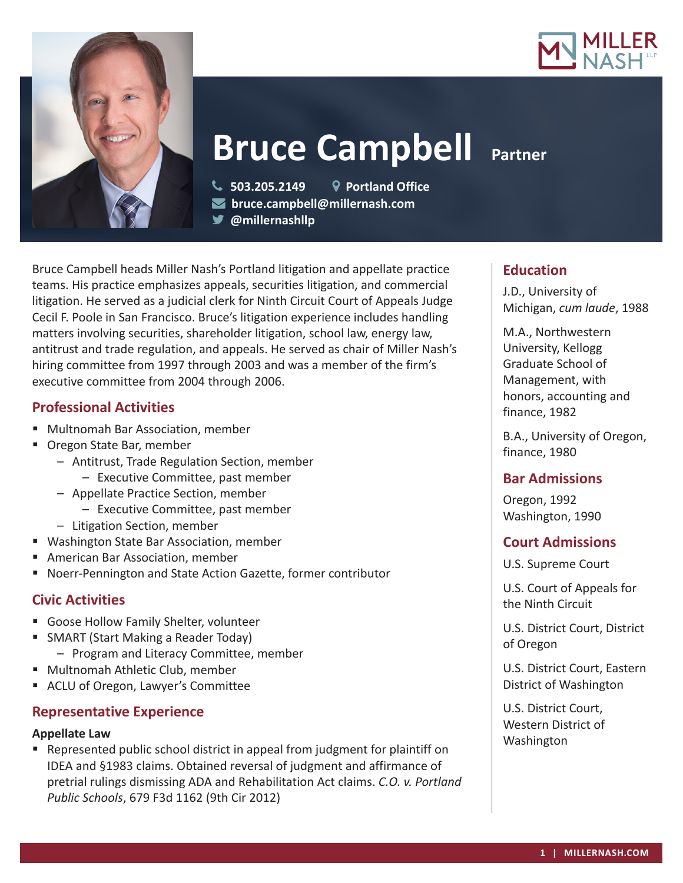



**Bruce Campbell Partner** 

 **503.205.2149 Portland Office bruce.campbell@millernash.com @millernashllp** 

Bruce Campbell heads Miller Nash's Portland litigation and appellate practice teams. His practice emphasizes appeals, securities litigation, and commercial litigation. He served as a judicial clerk for Ninth Circuit Court of Appeals Judge Cecil F. Poole in San Francisco. Bruce's litigation experience includes handling matters involving securities, shareholder litigation, school law, energy law, antitrust and trade regulation, and appeals. He served as chair of Miller Nash's hiring committee from 1997 through 2003 and was a member of the firm's executive committee from 2004 through 2006.

# **Professional Activities**

- Multnomah Bar Association, member
- Oregon State Bar, member
	- Antitrust, Trade Regulation Section, member – Executive Committee, past member
	- Appellate Practice Section, member
		- Executive Committee, past member
	- Litigation Section, member
- Washington State Bar Association, member
- American Bar Association, member
- Noerr-Pennington and State Action Gazette, former contributor

## **Civic Activities**

- Goose Hollow Family Shelter, volunteer
- **SMART (Start Making a Reader Today)** 
	- Program and Literacy Committee, member
- Multnomah Athletic Club, member
- ACLU of Oregon, Lawyer's Committee

## **Representative Experience**

### **Appellate Law**

 Represented public school district in appeal from judgment for plaintiff on IDEA and §1983 claims. Obtained reversal of judgment and affirmance of pretrial rulings dismissing ADA and Rehabilitation Act claims. *C.O. v. Portland Public Schools*, 679 F3d 1162 (9th Cir 2012)

## **Education**

J.D., University of Michigan, *cum laude*, 1988

M.A., Northwestern University, Kellogg Graduate School of Management, with honors, accounting and finance, 1982

B.A., University of Oregon, finance, 1980

## **Bar Admissions**

Oregon, 1992 Washington, 1990

## **Court Admissions**

U.S. Supreme Court

U.S. Court of Appeals for the Ninth Circuit

U.S. District Court, District of Oregon

U.S. District Court, Eastern District of Washington

U.S. District Court, Western District of Washington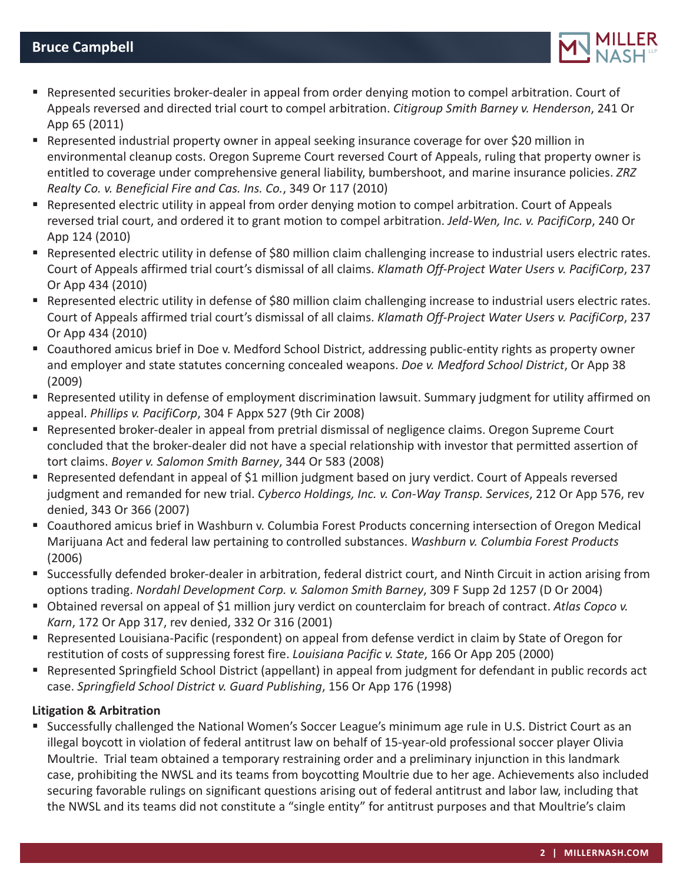

- Represented securities broker-dealer in appeal from order denying motion to compel arbitration. Court of Appeals reversed and directed trial court to compel arbitration. *Citigroup Smith Barney v. Henderson*, 241 Or App 65 (2011)
- Represented industrial property owner in appeal seeking insurance coverage for over \$20 million in environmental cleanup costs. Oregon Supreme Court reversed Court of Appeals, ruling that property owner is entitled to coverage under comprehensive general liability, bumbershoot, and marine insurance policies. *ZRZ Realty Co. v. Beneficial Fire and Cas. Ins. Co.*, 349 Or 117 (2010)
- Represented electric utility in appeal from order denying motion to compel arbitration. Court of Appeals reversed trial court, and ordered it to grant motion to compel arbitration. *Jeld-Wen, Inc. v. PacifiCorp*, 240 Or App 124 (2010)
- Represented electric utility in defense of \$80 million claim challenging increase to industrial users electric rates. Court of Appeals affirmed trial court's dismissal of all claims. *Klamath Off-Project Water Users v. PacifiCorp*, 237 Or App 434 (2010)
- Represented electric utility in defense of \$80 million claim challenging increase to industrial users electric rates. Court of Appeals affirmed trial court's dismissal of all claims. *Klamath Off-Project Water Users v. PacifiCorp*, 237 Or App 434 (2010)
- Coauthored amicus brief in Doe v. Medford School District, addressing public-entity rights as property owner and employer and state statutes concerning concealed weapons. *Doe v. Medford School District*, Or App 38 (2009)
- Represented utility in defense of employment discrimination lawsuit. Summary judgment for utility affirmed on appeal. *Phillips v. PacifiCorp*, 304 F Appx 527 (9th Cir 2008)
- Represented broker-dealer in appeal from pretrial dismissal of negligence claims. Oregon Supreme Court concluded that the broker-dealer did not have a special relationship with investor that permitted assertion of tort claims. *Boyer v. Salomon Smith Barney*, 344 Or 583 (2008)
- Represented defendant in appeal of \$1 million judgment based on jury verdict. Court of Appeals reversed judgment and remanded for new trial. *Cyberco Holdings, Inc. v. Con-Way Transp. Services*, 212 Or App 576, rev denied, 343 Or 366 (2007)
- Coauthored amicus brief in Washburn v. Columbia Forest Products concerning intersection of Oregon Medical Marijuana Act and federal law pertaining to controlled substances. *Washburn v. Columbia Forest Products* (2006)
- Successfully defended broker-dealer in arbitration, federal district court, and Ninth Circuit in action arising from options trading. *Nordahl Development Corp. v. Salomon Smith Barney*, 309 F Supp 2d 1257 (D Or 2004)
- Obtained reversal on appeal of \$1 million jury verdict on counterclaim for breach of contract. *Atlas Copco v. Karn*, 172 Or App 317, rev denied, 332 Or 316 (2001)
- Represented Louisiana-Pacific (respondent) on appeal from defense verdict in claim by State of Oregon for restitution of costs of suppressing forest fire. *Louisiana Pacific v. State*, 166 Or App 205 (2000)
- Represented Springfield School District (appellant) in appeal from judgment for defendant in public records act case. *Springfield School District v. Guard Publishing*, 156 Or App 176 (1998)

## **Litigation & Arbitration**

 Successfully challenged the National Women's Soccer League's minimum age rule in U.S. District Court as an illegal boycott in violation of federal antitrust law on behalf of 15-year-old professional soccer player Olivia Moultrie. Trial team obtained a temporary restraining order and a preliminary injunction in this landmark case, prohibiting the NWSL and its teams from boycotting Moultrie due to her age. Achievements also included securing favorable rulings on significant questions arising out of federal antitrust and labor law, including that the NWSL and its teams did not constitute a "single entity" for antitrust purposes and that Moultrie's claim